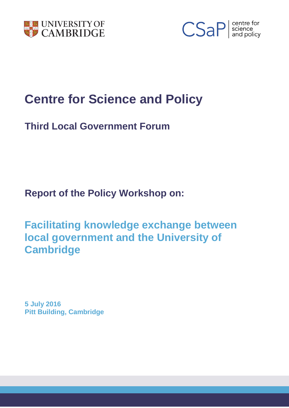

centre for<br>science<br>and policy **CSaP** 

# **Centre for Science and Policy**

## **Third Local Government Forum**

**Report of the Policy Workshop on:**

**Facilitating knowledge exchange between local government and the University of Cambridge**

**5 July 2016 Pitt Building, Cambridge**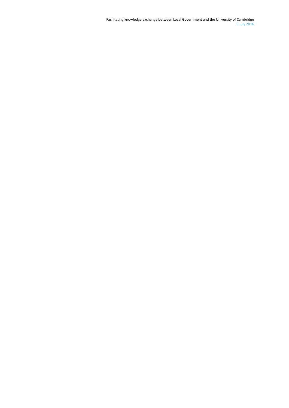Facilitating knowledge exchange between Local Government and the University of Cambridge 5 July 2016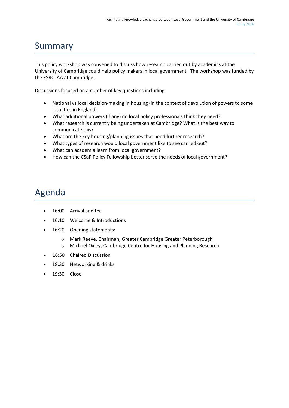### Summary

This policy workshop was convened to discuss how research carried out by academics at the University of Cambridge could help policy makers in local government. The workshop was funded by the ESRC IAA at Cambridge.

Discussions focused on a number of key questions including:

- National vs local decision-making in housing (in the context of devolution of powers to some localities in England)
- What additional powers (if any) do local policy professionals think they need?
- What research is currently being undertaken at Cambridge? What is the best way to communicate this?
- What are the key housing/planning issues that need further research?
- What types of research would local government like to see carried out?
- What can academia learn from local government?
- How can the CSaP Policy Fellowship better serve the needs of local government?

### Agenda

- 16:00 Arrival and tea
- 16:10 Welcome & Introductions
- 16:20 Opening statements:
	- o Mark Reeve, Chairman, Greater Cambridge Greater Peterborough
	- o Michael Oxley, Cambridge Centre for Housing and Planning Research
- 16:50 Chaired Discussion
- 18:30 Networking & drinks
- 19:30 Close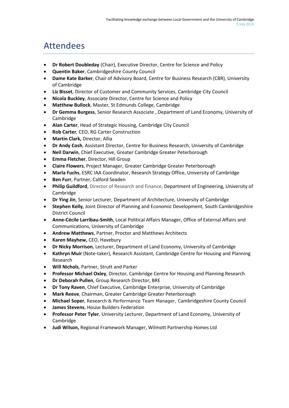### Attendees

- **Dr Robert Doubleday** (Chair), Executive Director, Centre for Science and Policy
- **Quentin Baker**, Cambridgeshire County Council
- **Dame Kate Barker**, Chair of Advisory Board, Centre for Business Research (CBR), University of Cambridge
- **Liz Bisset**, Director of Customer and Community Services, Cambridge City Council
- **Nicola Buckley**, Associate Director, Centre for Science and Policy
- **Matthew Bullock**, Master, St Edmunds College, Cambridge
- **Dr Gemma Burgess**, Senior Research Associate , Department of Land Economy, University of Cambridge
- **Alan Carter**, Head of Strategic Housing, Cambridge City Council
- **Rob Carter***,* CEO, RG Carter Construction
- **Martin Clark,** Director, Allia
- **Dr Andy Cosh**, Assistant Director, Centre for Business Research, University of Cambridge
- **Neil Darwin**, Chief Executive, Greater Cambridge Greater Peterborough
- **Emma Fletcher**, Director, Hill Group
- **Claire Flowers**, Project Manager, Greater Cambridge Greater Peterborough
- **Marla Fuchs**, ESRC IAA Coordinator, Research Strategy Office, University of Cambridge
- **Ben Furr**, Partner, Calford Seaden
- **Philip Guildford**, Director of Research and Finance, Department of Engineering, University of Cambridge
- **Dr Ying Jin**, Senior Lecturer, Department of Architecture, University of Cambridge
- **Stephen Kelly**, Joint Director of Planning and Economic Development, South Cambridgeshire District Council
- **Anne-Cécile Larribau-Smith**, Local Political Affairs Manager, Office of External Affairs and Communications, University of Cambridge
- **Andrew Matthews**, Partner, Proctor and Matthews Architects
- **Karen Mayhew,** CEO, Havebury
- **Dr Nicky Morrison**, Lecturer, Department of Land Economy, University of Cambridge
- **Kathryn Muir** (Note-taker), Research Assistant, Cambridge Centre for Housing and Planning Research
- **Will Nichols**, Partner, Strutt and Parker
- **Professor Michael Oxley**, Director, Cambridge Centre for Housing and Planning Research
- **Dr Deborah Pullen**, Group Research Director, BRE
- **Dr Tony Raven**, Chief Executive, Cambridge Enterprise, University of Cambridge
- **Mark Reeve**, Chairman, Greater Cambridge Greater Peterborough
- **Michael Soper**, Research & Performance Team Manager, Cambridgeshire County Council
- **James Stevens**, House Builders Federation
- **Professor Peter Tyler**, University Lecturer, Department of Land Economy, University of Cambridge
- **Judi Wilson,** Regional Framework Manager, Wilmott Partnership Homes Ltd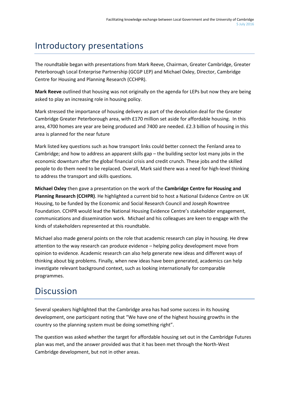### Introductory presentations

The roundtable began with presentations from Mark Reeve, Chairman, Greater Cambridge, Greater Peterborough Local Enterprise Partnership (GCGP LEP) and Michael Oxley, Director, Cambridge Centre for Housing and Planning Research (CCHPR).

**Mark Reeve** outlined that housing was not originally on the agenda for LEPs but now they are being asked to play an increasing role in housing policy.

Mark stressed the importance of housing delivery as part of the devolution deal for the Greater Cambridge Greater Peterborough area, with £170 million set aside for affordable housing. In this area, 4700 homes are year are being produced and 7400 are needed. £2.3 billion of housing in this area is planned for the near future

Mark listed key questions such as how transport links could better connect the Fenland area to Cambridge; and how to address an apparent skills gap – the building sector lost many jobs in the economic downturn after the global financial crisis and credit crunch. These jobs and the skilled people to do them need to be replaced. Overall, Mark said there was a need for high-level thinking to address the transport and skills questions.

**Michael Oxley** then gave a presentation on the work of the **Cambridge Centre for Housing and Planning Research (CCHPR)**. He highlighted a current bid to host a National Evidence Centre on UK Housing, to be funded by the Economic and Social Research Council and Joseph Rowntree Foundation. CCHPR would lead the National Housing Evidence Centre's stakeholder engagement, communications and dissemination work. Michael and his colleagues are keen to engage with the kinds of stakeholders represented at this roundtable.

Michael also made general points on the role that academic research can play in housing. He drew attention to the way research can produce evidence – helping policy development move from opinion to evidence. Academic research can also help generate new ideas and different ways of thinking about big problems. Finally, when new ideas have been generated, academics can help investigate relevant background context, such as looking internationally for comparable programmes.

### **Discussion**

Several speakers highlighted that the Cambridge area has had some success in its housing development, one participant noting that "We have one of the highest housing growths in the country so the planning system must be doing something right".

The question was asked whether the target for affordable housing set out in the Cambridge Futures plan was met, and the answer provided was that it has been met through the North-West Cambridge development, but not in other areas.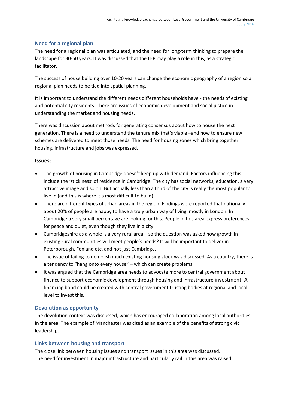#### **Need for a regional plan**

The need for a regional plan was articulated, and the need for long-term thinking to prepare the landscape for 30-50 years. It was discussed that the LEP may play a role in this, as a strategic facilitator.

The success of house building over 10-20 years can change the economic geography of a region so a regional plan needs to be tied into spatial planning.

It is important to understand the different needs different households have - the needs of existing and potential city residents. There are issues of economic development and social justice in understanding the market and housing needs.

There was discussion about methods for generating consensus about how to house the next generation. There is a need to understand the tenure mix that's viable –and how to ensure new schemes are delivered to meet those needs. The need for housing zones which bring together housing, infrastructure and jobs was expressed.

#### **Issues:**

- The growth of housing in Cambridge doesn't keep up with demand. Factors influencing this include the 'stickiness' of residence in Cambridge. The city has social networks, education, a very attractive image and so on. But actually less than a third of the city is really the most popular to live in (and this is where it's most difficult to build).
- There are different types of urban areas in the region. Findings were reported that nationally about 20% of people are happy to have a truly urban way of living, mostly in London. In Cambridge a very small percentage are looking for this. People in this area express preferences for peace and quiet, even though they live in a city.
- Cambridgeshire as a whole is a very rural area so the question was asked how growth in existing rural communities will meet people's needs? It will be important to deliver in Peterborough, Fenland etc. and not just Cambridge.
- The issue of failing to demolish much existing housing stock was discussed. As a country, there is a tendency to "hang onto every house" – which can create problems.
- It was argued that the Cambridge area needs to advocate more to central government about finance to support economic development through housing and infrastructure investment. A financing bond could be created with central government trusting bodies at regional and local level to invest this.

#### **Devolution as opportunity**

The devolution context was discussed, which has encouraged collaboration among local authorities in the area. The example of Manchester was cited as an example of the benefits of strong civic leadership.

#### **Links between housing and transport**

The close link between housing issues and transport issues in this area was discussed. The need for investment in major infrastructure and particularly rail in this area was raised.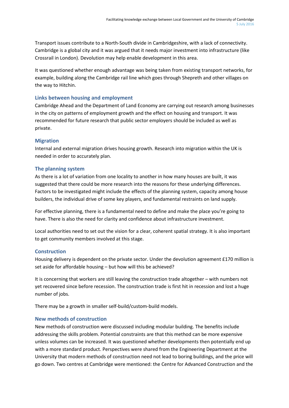Transport issues contribute to a North-South divide in Cambridgeshire, with a lack of connectivity. Cambridge is a global city and it was argued that it needs major investment into infrastructure (like Crossrail in London). Devolution may help enable development in this area.

It was questioned whether enough advantage was being taken from existing transport networks, for example, building along the Cambridge rail line which goes through Shepreth and other villages on the way to Hitchin.

#### **Links between housing and employment**

Cambridge Ahead and the Department of Land Economy are carrying out research among businesses in the city on patterns of employment growth and the effect on housing and transport. It was recommended for future research that public sector employers should be included as well as private.

#### **Migration**

Internal and external migration drives housing growth. Research into migration within the UK is needed in order to accurately plan.

#### **The planning system**

As there is a lot of variation from one locality to another in how many houses are built, it was suggested that there could be more research into the reasons for these underlying differences. Factors to be investigated might include the effects of the planning system, capacity among house builders, the individual drive of some key players, and fundamental restraints on land supply.

For effective planning, there is a fundamental need to define and make the place you're going to have. There is also the need for clarity and confidence about infrastructure investment.

Local authorities need to set out the vision for a clear, coherent spatial strategy. It is also important to get community members involved at this stage.

#### **Construction**

Housing delivery is dependent on the private sector. Under the devolution agreement £170 million is set aside for affordable housing – but how will this be achieved?

It is concerning that workers are still leaving the construction trade altogether – with numbers not yet recovered since before recession. The construction trade is first hit in recession and lost a huge number of jobs.

There may be a growth in smaller self-build/custom-build models.

#### **New methods of construction**

New methods of construction were discussed including modular building. The benefits include addressing the skills problem. Potential constraints are that this method can be more expensive unless volumes can be increased. It was questioned whether developments then potentially end up with a more standard product. Perspectives were shared from the Engineering Department at the University that modern methods of construction need not lead to boring buildings, and the price will go down. Two centres at Cambridge were mentioned: the Centre for Advanced Construction and the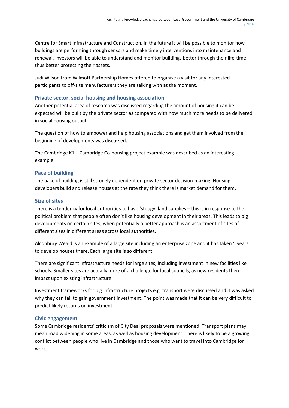Centre for Smart Infrastructure and Construction. In the future it will be possible to monitor how buildings are performing through sensors and make timely interventions into maintenance and renewal. Investors will be able to understand and monitor buildings better through their life-time, thus better protecting their assets.

Judi Wilson from Wilmott Partnership Homes offered to organise a visit for any interested participants to off-site manufacturers they are talking with at the moment.

#### **Private sector, social housing and housing association**

Another potential area of research was discussed regarding the amount of housing it can be expected will be built by the private sector as compared with how much more needs to be delivered in social housing output.

The question of how to empower and help housing associations and get them involved from the beginning of developments was discussed.

The Cambridge K1 – Cambridge Co-housing project example was described as an interesting example.

#### **Pace of building**

The pace of building is still strongly dependent on private sector decision-making. Housing developers build and release houses at the rate they think there is market demand for them.

#### **Size of sites**

There is a tendency for local authorities to have 'stodgy' land supplies – this is in response to the political problem that people often don't like housing development in their areas. This leads to big developments on certain sites, when potentially a better approach is an assortment of sites of different sizes in different areas across local authorities.

Alconbury Weald is an example of a large site including an enterprise zone and it has taken 5 years to develop houses there. Each large site is so different.

There are significant infrastructure needs for large sites, including investment in new facilities like schools. Smaller sites are actually more of a challenge for local councils, as new residents then impact upon existing infrastructure.

Investment frameworks for big infrastructure projects e.g. transport were discussed and it was asked why they can fail to gain government investment. The point was made that it can be very difficult to predict likely returns on investment.

#### **Civic engagement**

Some Cambridge residents' criticism of City Deal proposals were mentioned. Transport plans may mean road widening in some areas, as well as housing development. There is likely to be a growing conflict between people who live in Cambridge and those who want to travel into Cambridge for work.